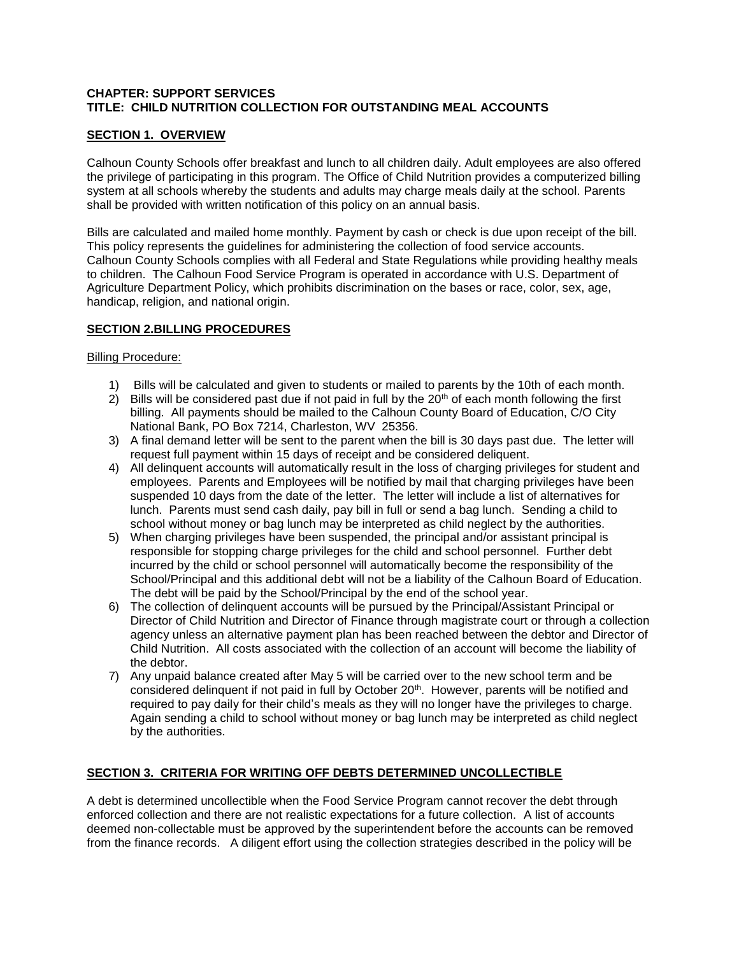# **CHAPTER: SUPPORT SERVICES TITLE: CHILD NUTRITION COLLECTION FOR OUTSTANDING MEAL ACCOUNTS**

### **SECTION 1. OVERVIEW**

Calhoun County Schools offer breakfast and lunch to all children daily. Adult employees are also offered the privilege of participating in this program. The Office of Child Nutrition provides a computerized billing system at all schools whereby the students and adults may charge meals daily at the school. Parents shall be provided with written notification of this policy on an annual basis.

Bills are calculated and mailed home monthly. Payment by cash or check is due upon receipt of the bill. This policy represents the guidelines for administering the collection of food service accounts. Calhoun County Schools complies with all Federal and State Regulations while providing healthy meals to children. The Calhoun Food Service Program is operated in accordance with U.S. Department of Agriculture Department Policy, which prohibits discrimination on the bases or race, color, sex, age, handicap, religion, and national origin.

### **SECTION 2.BILLING PROCEDURES**

#### **Billing Procedure:**

- 1) Bills will be calculated and given to students or mailed to parents by the 10th of each month.
- 2) Bills will be considered past due if not paid in full by the  $20<sup>th</sup>$  of each month following the first billing. All payments should be mailed to the Calhoun County Board of Education, C/O City National Bank, PO Box 7214, Charleston, WV 25356.
- 3) A final demand letter will be sent to the parent when the bill is 30 days past due. The letter will request full payment within 15 days of receipt and be considered deliquent.
- 4) All delinquent accounts will automatically result in the loss of charging privileges for student and employees. Parents and Employees will be notified by mail that charging privileges have been suspended 10 days from the date of the letter. The letter will include a list of alternatives for lunch. Parents must send cash daily, pay bill in full or send a bag lunch. Sending a child to school without money or bag lunch may be interpreted as child neglect by the authorities.
- 5) When charging privileges have been suspended, the principal and/or assistant principal is responsible for stopping charge privileges for the child and school personnel. Further debt incurred by the child or school personnel will automatically become the responsibility of the School/Principal and this additional debt will not be a liability of the Calhoun Board of Education. The debt will be paid by the School/Principal by the end of the school year.
- 6) The collection of delinquent accounts will be pursued by the Principal/Assistant Principal or Director of Child Nutrition and Director of Finance through magistrate court or through a collection agency unless an alternative payment plan has been reached between the debtor and Director of Child Nutrition. All costs associated with the collection of an account will become the liability of the debtor.
- 7) Any unpaid balance created after May 5 will be carried over to the new school term and be considered delinquent if not paid in full by October 20<sup>th</sup>. However, parents will be notified and required to pay daily for their child's meals as they will no longer have the privileges to charge. Again sending a child to school without money or bag lunch may be interpreted as child neglect by the authorities.

# **SECTION 3. CRITERIA FOR WRITING OFF DEBTS DETERMINED UNCOLLECTIBLE**

A debt is determined uncollectible when the Food Service Program cannot recover the debt through enforced collection and there are not realistic expectations for a future collection. A list of accounts deemed non-collectable must be approved by the superintendent before the accounts can be removed from the finance records. A diligent effort using the collection strategies described in the policy will be